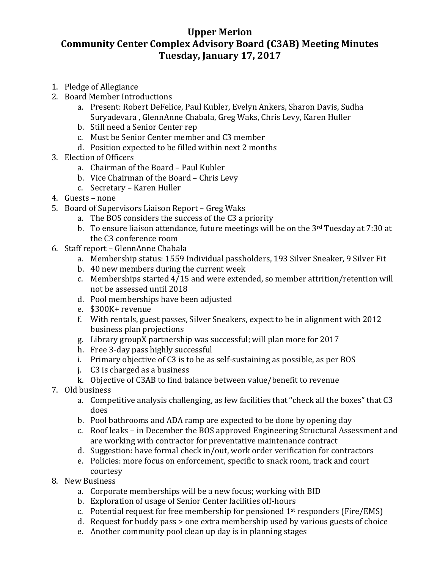## **Upper Merion Community Center Complex Advisory Board (C3AB) Meeting Minutes Tuesday, January 17, 2017**

- 1. Pledge of Allegiance
- 2. Board Member Introductions
	- a. Present: Robert DeFelice, Paul Kubler, Evelyn Ankers, Sharon Davis, Sudha Suryadevara , GlennAnne Chabala, Greg Waks, Chris Levy, Karen Huller
	- b. Still need a Senior Center rep
	- c. Must be Senior Center member and C3 member
	- d. Position expected to be filled within next 2 months
- 3. Election of Officers
	- a. Chairman of the Board Paul Kubler
	- b. Vice Chairman of the Board Chris Levy
	- c. Secretary Karen Huller
- 4. Guests none
- 5. Board of Supervisors Liaison Report Greg Waks
	- a. The BOS considers the success of the C3 a priority
	- b. To ensure liaison attendance, future meetings will be on the  $3<sup>rd</sup>$  Tuesday at 7:30 at the C3 conference room
- 6. Staff report GlennAnne Chabala
	- a. Membership status: 1559 Individual passholders, 193 Silver Sneaker, 9 Silver Fit
	- b. 40 new members during the current week
	- c. Memberships started 4/15 and were extended, so member attrition/retention will not be assessed until 2018
	- d. Pool memberships have been adjusted
	- e. \$300K+ revenue
	- f. With rentals, guest passes, Silver Sneakers, expect to be in alignment with 2012 business plan projections
	- g. Library groupX partnership was successful; will plan more for 2017
	- h. Free 3-day pass highly successful
	- i. Primary objective of C3 is to be as self-sustaining as possible, as per BOS
	- j. C3 is charged as a business
	- k. Objective of C3AB to find balance between value/benefit to revenue
- 7. Old business
	- a. Competitive analysis challenging, as few facilities that "check all the boxes" that C3 does
	- b. Pool bathrooms and ADA ramp are expected to be done by opening day
	- c. Roof leaks in December the BOS approved Engineering Structural Assessment and are working with contractor for preventative maintenance contract
	- d. Suggestion: have formal check in/out, work order verification for contractors
	- e. Policies: more focus on enforcement, specific to snack room, track and court courtesy
- 8. New Business
	- a. Corporate memberships will be a new focus; working with BID
	- b. Exploration of usage of Senior Center facilities off-hours
	- c. Potential request for free membership for pensioned  $1<sup>st</sup>$  responders (Fire/EMS)
	- d. Request for buddy pass > one extra membership used by various guests of choice
	- e. Another community pool clean up day is in planning stages